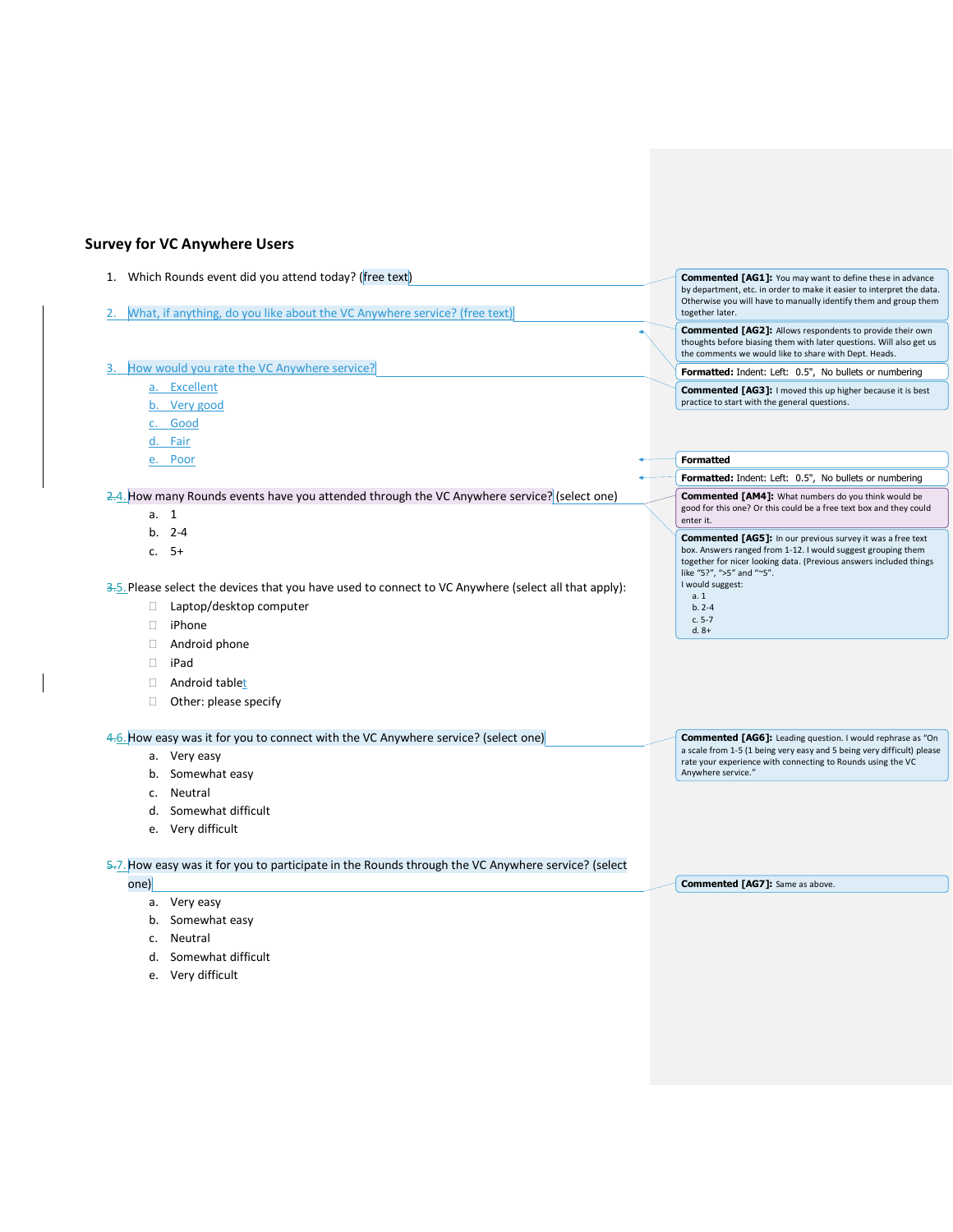## **Survey for VC Anywhere Users**

| 1. Which Rounds event did you attend today? (free text)<br>What, if anything, do you like about the VC Anywhere service? (free text) |  |  | <b>Commented [AG1]:</b> You may want to define these in advance<br>by department, etc. in order to make it easier to interpret the data.<br>Otherwise you will have to manually identify them and group them<br>together later. |
|--------------------------------------------------------------------------------------------------------------------------------------|--|--|---------------------------------------------------------------------------------------------------------------------------------------------------------------------------------------------------------------------------------|
|                                                                                                                                      |  |  | <b>Commented [AG2]:</b> Allows respondents to provide their own<br>thoughts before biasing them with later questions. Will also get us<br>the comments we would like to share with Dept. Heads.                                 |
| How would you rate the VC Anywhere service?                                                                                          |  |  | Formatted: Indent: Left: 0.5", No bullets or numbering                                                                                                                                                                          |
| a. Excellent                                                                                                                         |  |  | <b>Commented [AG3]:</b> I moved this up higher because it is best                                                                                                                                                               |
| b. Very good                                                                                                                         |  |  | practice to start with the general questions.                                                                                                                                                                                   |
| c. Good                                                                                                                              |  |  |                                                                                                                                                                                                                                 |
| d. Fair                                                                                                                              |  |  |                                                                                                                                                                                                                                 |
| e. Poor                                                                                                                              |  |  | <b>Formatted</b>                                                                                                                                                                                                                |
|                                                                                                                                      |  |  | Formatted: Indent: Left: 0.5", No bullets or numbering                                                                                                                                                                          |
| 2.4. How many Rounds events have you attended through the VC Anywhere service? (select one)                                          |  |  | <b>Commented [AM4]:</b> What numbers do you think would be                                                                                                                                                                      |
| a. 1                                                                                                                                 |  |  | good for this one? Or this could be a free text box and they could<br>enter it.                                                                                                                                                 |
| $b. 2-4$                                                                                                                             |  |  | <b>Commented [AG5]:</b> In our previous survey it was a free text                                                                                                                                                               |
| $c. 5+$                                                                                                                              |  |  | box. Answers ranged from 1-12. I would suggest grouping them<br>together for nicer looking data. (Previous answers included things<br>like "5?", ">5" and "~5".                                                                 |
| $\frac{3.5}{5}$ . Please select the devices that you have used to connect to VC Anywhere (select all that apply):                    |  |  | I would suggest:                                                                                                                                                                                                                |
| Laptop/desktop computer<br>П.                                                                                                        |  |  | a.1<br>$b. 2-4$                                                                                                                                                                                                                 |
| П.<br>iPhone                                                                                                                         |  |  | $c. 5-7$<br>$d. 8+$                                                                                                                                                                                                             |
| Android phone<br>П.                                                                                                                  |  |  |                                                                                                                                                                                                                                 |
| iPad<br>П.                                                                                                                           |  |  |                                                                                                                                                                                                                                 |
| Android tablet<br>П.                                                                                                                 |  |  |                                                                                                                                                                                                                                 |
| Other: please specify<br>П                                                                                                           |  |  |                                                                                                                                                                                                                                 |
| 4.6. How easy was it for you to connect with the VC Anywhere service? (select one)                                                   |  |  | <b>Commented [AG6]:</b> Leading question. I would rephrase as "On                                                                                                                                                               |
| a. Very easy                                                                                                                         |  |  | a scale from 1-5 (1 being very easy and 5 being very difficult) please<br>rate your experience with connecting to Rounds using the VC                                                                                           |
| b. Somewhat easy                                                                                                                     |  |  | Anywhere service."                                                                                                                                                                                                              |

**Commented [AG7]:** Same as above.

- c. Neutral
- d. Somewhat difficult
- e. Very difficult

## 5.7. How easy was it for you to participate in the Rounds through the VC Anywhere service? (select

one)

- a. Very easy
- b. Somewhat easy
- c. Neutral
- d. Somewhat difficult
- e. Very difficult